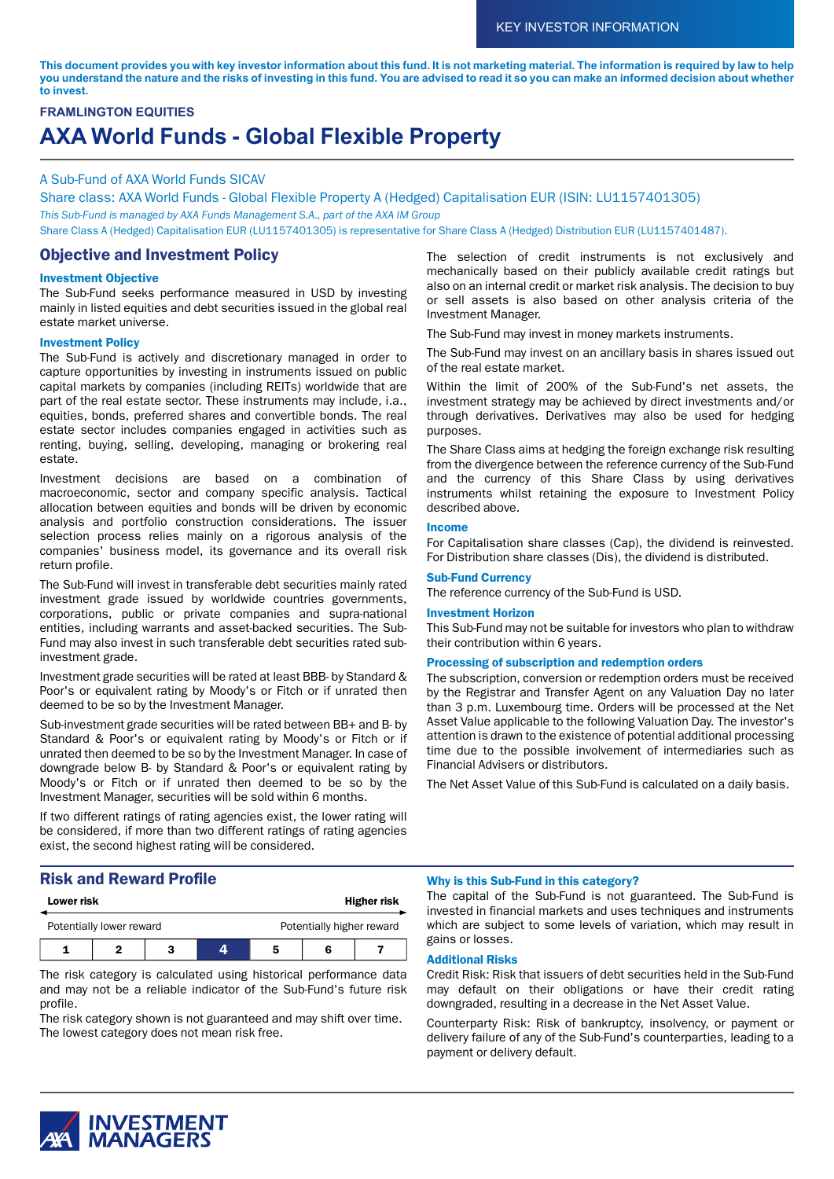This document provides you with key investor information about this fund. It is not marketing material. The information is required by law to help you understand the nature and the risks of investing in this fund. You are advised to read it so you can make an informed decision about whether **to invest.**

# **FRAMLINGTON EQUITIES AXA World Funds - Global Flexible Property**

### A Sub-Fund of AXA World Funds SICAV

Share class: AXA World Funds - Global Flexible Property A (Hedged) Capitalisation EUR (ISIN: LU1157401305) *This Sub-Fund is managed by AXA Funds Management S.A., part of the AXA IM Group* Share Class A (Hedged) Capitalisation EUR (LU1157401305) is representative for Share Class A (Hedged) Distribution EUR (LU1157401487).

# Objective and Investment Policy

### Investment Objective

The Sub-Fund seeks performance measured in USD by investing mainly in listed equities and debt securities issued in the global real estate market universe.

### Investment Policy

The Sub-Fund is actively and discretionary managed in order to capture opportunities by investing in instruments issued on public capital markets by companies (including REITs) worldwide that are part of the real estate sector. These instruments may include, i.a., equities, bonds, preferred shares and convertible bonds. The real estate sector includes companies engaged in activities such as renting, buying, selling, developing, managing or brokering real estate.

Investment decisions are based on a combination of macroeconomic, sector and company specific analysis. Tactical allocation between equities and bonds will be driven by economic analysis and portfolio construction considerations. The issuer selection process relies mainly on a rigorous analysis of the companies' business model, its governance and its overall risk return profile.

The Sub-Fund will invest in transferable debt securities mainly rated investment grade issued by worldwide countries governments, corporations, public or private companies and supra-national entities, including warrants and asset-backed securities. The Sub-Fund may also invest in such transferable debt securities rated subinvestment grade.

Investment grade securities will be rated at least BBB- by Standard & Poor's or equivalent rating by Moody's or Fitch or if unrated then deemed to be so by the Investment Manager.

Sub-investment grade securities will be rated between BB+ and B- by Standard & Poor's or equivalent rating by Moody's or Fitch or if unrated then deemed to be so by the Investment Manager. In case of downgrade below B- by Standard & Poor's or equivalent rating by Moody's or Fitch or if unrated then deemed to be so by the Investment Manager, securities will be sold within 6 months.

If two different ratings of rating agencies exist, the lower rating will be considered, if more than two different ratings of rating agencies exist, the second highest rating will be considered.

# Risk and Reward Profile

| <b>Lower risk</b>        |  |  | <b>Higher risk</b> |                           |   |  |
|--------------------------|--|--|--------------------|---------------------------|---|--|
| Potentially lower reward |  |  |                    | Potentially higher reward |   |  |
|                          |  |  |                    | 5                         | 6 |  |

The risk category is calculated using historical performance data and may not be a reliable indicator of the Sub-Fund's future risk profile.

The risk category shown is not guaranteed and may shift over time. The lowest category does not mean risk free.

The selection of credit instruments is not exclusively and mechanically based on their publicly available credit ratings but also on an internal credit or market risk analysis. The decision to buy or sell assets is also based on other analysis criteria of the Investment Manager.

The Sub-Fund may invest in money markets instruments.

The Sub-Fund may invest on an ancillary basis in shares issued out of the real estate market.

Within the limit of 200% of the Sub-Fund's net assets, the investment strategy may be achieved by direct investments and/or through derivatives. Derivatives may also be used for hedging purposes.

The Share Class aims at hedging the foreign exchange risk resulting from the divergence between the reference currency of the Sub-Fund and the currency of this Share Class by using derivatives instruments whilst retaining the exposure to Investment Policy described above.

#### Income

For Capitalisation share classes (Cap), the dividend is reinvested. For Distribution share classes (Dis), the dividend is distributed.

### Sub-Fund Currency

The reference currency of the Sub-Fund is USD.

#### Investment Horizon

This Sub-Fund may not be suitable for investors who plan to withdraw their contribution within 6 years.

#### Processing of subscription and redemption orders

The subscription, conversion or redemption orders must be received by the Registrar and Transfer Agent on any Valuation Day no later than 3 p.m. Luxembourg time. Orders will be processed at the Net Asset Value applicable to the following Valuation Day. The investor's attention is drawn to the existence of potential additional processing time due to the possible involvement of intermediaries such as Financial Advisers or distributors.

The Net Asset Value of this Sub-Fund is calculated on a daily basis.



The capital of the Sub-Fund is not guaranteed. The Sub-Fund is invested in financial markets and uses techniques and instruments which are subject to some levels of variation, which may result in gains or losses.

### Additional Risks

Credit Risk: Risk that issuers of debt securities held in the Sub-Fund may default on their obligations or have their credit rating downgraded, resulting in a decrease in the Net Asset Value.

Counterparty Risk: Risk of bankruptcy, insolvency, or payment or delivery failure of any of the Sub-Fund's counterparties, leading to a payment or delivery default.